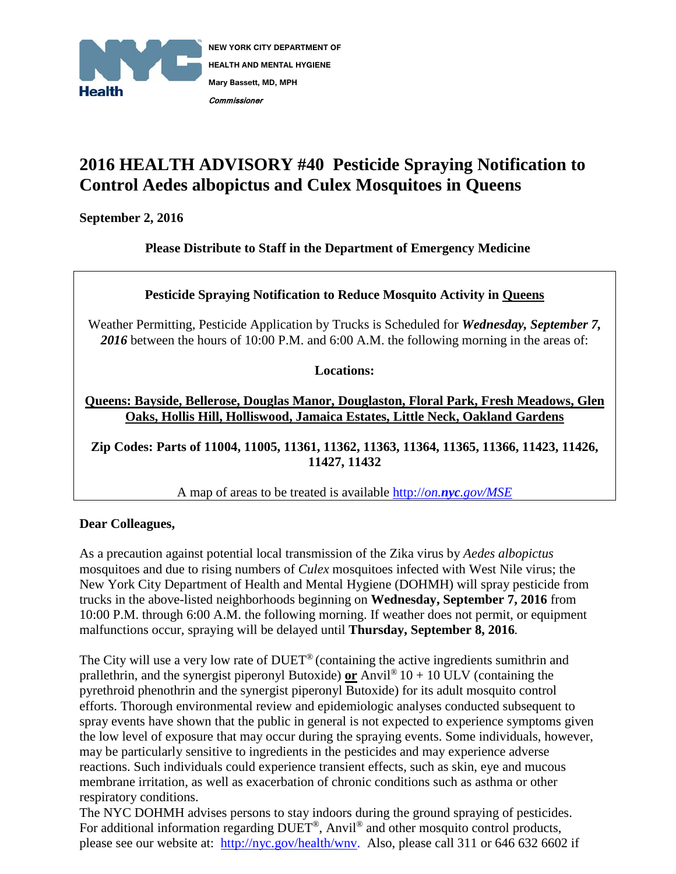

## **2016 HEALTH ADVISORY #40 Pesticide Spraying Notification to Control Aedes albopictus and Culex Mosquitoes in Queens**

**September 2, 2016**

**Please Distribute to Staff in the Department of Emergency Medicine**

## **Pesticide Spraying Notification to Reduce Mosquito Activity in Queens**

Weather Permitting, Pesticide Application by Trucks is Scheduled for *Wednesday, September 7, 2016* between the hours of 10:00 P.M. and 6:00 A.M. the following morning in the areas of:

**Locations:**

**Queens: Bayside, Bellerose, Douglas Manor, Douglaston, Floral Park, Fresh Meadows, Glen Oaks, Hollis Hill, Holliswood, Jamaica Estates, Little Neck, Oakland Gardens** 

**Zip Codes: Parts of 11004, 11005, 11361, 11362, 11363, 11364, 11365, 11366, 11423, 11426, 11427, 11432**

A map of areas to be treated is available http://*on.nyc[.gov/MSE](http://on.nyc.gov/MSE)*

## **Dear Colleagues,**

As a precaution against potential local transmission of the Zika virus by *Aedes albopictus* mosquitoes and due to rising numbers of *Culex* mosquitoes infected with West Nile virus; the New York City Department of Health and Mental Hygiene (DOHMH) will spray pesticide from trucks in the above-listed neighborhoods beginning on **Wednesday, September 7, 2016** from 10:00 P.M. through 6:00 A.M. the following morning. If weather does not permit, or equipment malfunctions occur, spraying will be delayed until **Thursday, September 8, 2016***.*

The City will use a very low rate of DUET® (containing the active ingredients sumithrin and prallethrin, and the synergist piperonyl Butoxide) **or** Anvil<sup>®</sup>  $10 + 10$  ULV (containing the pyrethroid phenothrin and the synergist piperonyl Butoxide) for its adult mosquito control efforts. Thorough environmental review and epidemiologic analyses conducted subsequent to spray events have shown that the public in general is not expected to experience symptoms given the low level of exposure that may occur during the spraying events. Some individuals, however, may be particularly sensitive to ingredients in the pesticides and may experience adverse reactions. Such individuals could experience transient effects, such as skin, eye and mucous membrane irritation, as well as exacerbation of chronic conditions such as asthma or other respiratory conditions.

The NYC DOHMH advises persons to stay indoors during the ground spraying of pesticides. For additional information regarding  $DUET^{\circledast}$ , Anvil<sup>®</sup> and other mosquito control products, please see our website at: [http://nyc.gov/health/wnv.](http://nyc.gov/health/wnv) Also, please call 311 or 646 632 6602 if